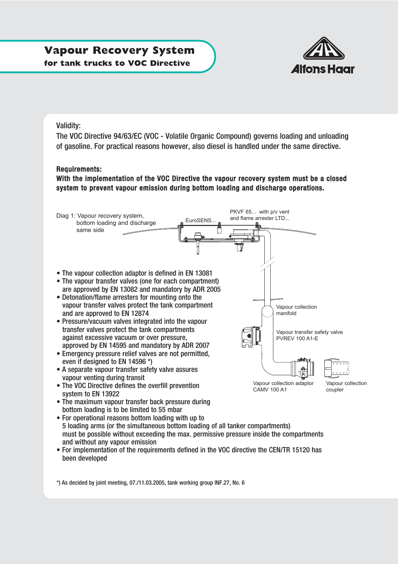# **Vapour Recovery System for tank trucks to VOC Directive**



### Validity:

The VOC Directive 94/63/EC (VOC - Volatile Organic Compound) governs loading and unloading of gasoline. For practical reasons however, also diesel is handled under the same directive.

#### Requirements:

With the implementation of the VOC Directive the vapour recovery system must be a closed system to prevent vapour emission during bottom loading and discharge operations.



- must be possible without exceeding the max. permissive pressure inside the compartments and without any vapour emission
- For implementation of the requirements defined in the VOC directive the CEN/TR 15120 has been developed

\*) As decided by joint meeting, 07./11.03.2005, tank working group INF.27, No. 6